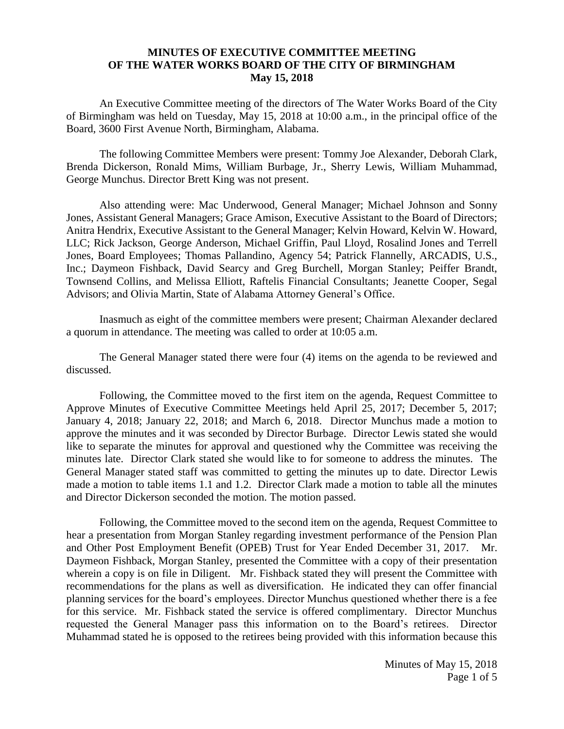## **MINUTES OF EXECUTIVE COMMITTEE MEETING OF THE WATER WORKS BOARD OF THE CITY OF BIRMINGHAM May 15, 2018**

An Executive Committee meeting of the directors of The Water Works Board of the City of Birmingham was held on Tuesday, May 15, 2018 at 10:00 a.m., in the principal office of the Board, 3600 First Avenue North, Birmingham, Alabama.

The following Committee Members were present: Tommy Joe Alexander, Deborah Clark, Brenda Dickerson, Ronald Mims, William Burbage, Jr., Sherry Lewis, William Muhammad, George Munchus. Director Brett King was not present.

Also attending were: Mac Underwood, General Manager; Michael Johnson and Sonny Jones, Assistant General Managers; Grace Amison, Executive Assistant to the Board of Directors; Anitra Hendrix, Executive Assistant to the General Manager; Kelvin Howard, Kelvin W. Howard, LLC; Rick Jackson, George Anderson, Michael Griffin, Paul Lloyd, Rosalind Jones and Terrell Jones, Board Employees; Thomas Pallandino, Agency 54; Patrick Flannelly, ARCADIS, U.S., Inc.; Daymeon Fishback, David Searcy and Greg Burchell, Morgan Stanley; Peiffer Brandt, Townsend Collins, and Melissa Elliott, Raftelis Financial Consultants; Jeanette Cooper, Segal Advisors; and Olivia Martin, State of Alabama Attorney General's Office.

Inasmuch as eight of the committee members were present; Chairman Alexander declared a quorum in attendance. The meeting was called to order at 10:05 a.m.

The General Manager stated there were four (4) items on the agenda to be reviewed and discussed.

Following, the Committee moved to the first item on the agenda, Request Committee to Approve Minutes of Executive Committee Meetings held April 25, 2017; December 5, 2017; January 4, 2018; January 22, 2018; and March 6, 2018. Director Munchus made a motion to approve the minutes and it was seconded by Director Burbage. Director Lewis stated she would like to separate the minutes for approval and questioned why the Committee was receiving the minutes late. Director Clark stated she would like to for someone to address the minutes. The General Manager stated staff was committed to getting the minutes up to date. Director Lewis made a motion to table items 1.1 and 1.2. Director Clark made a motion to table all the minutes and Director Dickerson seconded the motion. The motion passed.

Following, the Committee moved to the second item on the agenda, Request Committee to hear a presentation from Morgan Stanley regarding investment performance of the Pension Plan and Other Post Employment Benefit (OPEB) Trust for Year Ended December 31, 2017. Mr. Daymeon Fishback, Morgan Stanley, presented the Committee with a copy of their presentation wherein a copy is on file in Diligent. Mr. Fishback stated they will present the Committee with recommendations for the plans as well as diversification. He indicated they can offer financial planning services for the board's employees. Director Munchus questioned whether there is a fee for this service. Mr. Fishback stated the service is offered complimentary. Director Munchus requested the General Manager pass this information on to the Board's retirees. Director Muhammad stated he is opposed to the retirees being provided with this information because this

> Minutes of May 15, 2018 Page 1 of 5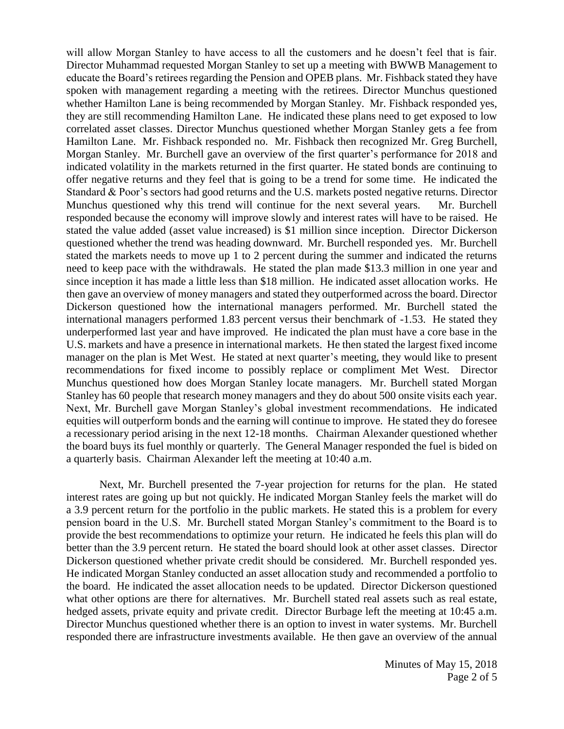will allow Morgan Stanley to have access to all the customers and he doesn't feel that is fair. Director Muhammad requested Morgan Stanley to set up a meeting with BWWB Management to educate the Board's retirees regarding the Pension and OPEB plans. Mr. Fishback stated they have spoken with management regarding a meeting with the retirees. Director Munchus questioned whether Hamilton Lane is being recommended by Morgan Stanley. Mr. Fishback responded yes, they are still recommending Hamilton Lane. He indicated these plans need to get exposed to low correlated asset classes. Director Munchus questioned whether Morgan Stanley gets a fee from Hamilton Lane. Mr. Fishback responded no. Mr. Fishback then recognized Mr. Greg Burchell, Morgan Stanley. Mr. Burchell gave an overview of the first quarter's performance for 2018 and indicated volatility in the markets returned in the first quarter. He stated bonds are continuing to offer negative returns and they feel that is going to be a trend for some time. He indicated the Standard & Poor's sectors had good returns and the U.S. markets posted negative returns. Director Munchus questioned why this trend will continue for the next several years. Mr. Burchell responded because the economy will improve slowly and interest rates will have to be raised. He stated the value added (asset value increased) is \$1 million since inception. Director Dickerson questioned whether the trend was heading downward. Mr. Burchell responded yes. Mr. Burchell stated the markets needs to move up 1 to 2 percent during the summer and indicated the returns need to keep pace with the withdrawals. He stated the plan made \$13.3 million in one year and since inception it has made a little less than \$18 million. He indicated asset allocation works. He then gave an overview of money managers and stated they outperformed across the board. Director Dickerson questioned how the international managers performed. Mr. Burchell stated the international managers performed 1.83 percent versus their benchmark of -1.53. He stated they underperformed last year and have improved. He indicated the plan must have a core base in the U.S. markets and have a presence in international markets. He then stated the largest fixed income manager on the plan is Met West. He stated at next quarter's meeting, they would like to present recommendations for fixed income to possibly replace or compliment Met West. Director Munchus questioned how does Morgan Stanley locate managers. Mr. Burchell stated Morgan Stanley has 60 people that research money managers and they do about 500 onsite visits each year. Next, Mr. Burchell gave Morgan Stanley's global investment recommendations. He indicated equities will outperform bonds and the earning will continue to improve. He stated they do foresee a recessionary period arising in the next 12-18 months. Chairman Alexander questioned whether the board buys its fuel monthly or quarterly. The General Manager responded the fuel is bided on a quarterly basis. Chairman Alexander left the meeting at 10:40 a.m.

Next, Mr. Burchell presented the 7-year projection for returns for the plan. He stated interest rates are going up but not quickly. He indicated Morgan Stanley feels the market will do a 3.9 percent return for the portfolio in the public markets. He stated this is a problem for every pension board in the U.S. Mr. Burchell stated Morgan Stanley's commitment to the Board is to provide the best recommendations to optimize your return. He indicated he feels this plan will do better than the 3.9 percent return. He stated the board should look at other asset classes. Director Dickerson questioned whether private credit should be considered. Mr. Burchell responded yes. He indicated Morgan Stanley conducted an asset allocation study and recommended a portfolio to the board. He indicated the asset allocation needs to be updated. Director Dickerson questioned what other options are there for alternatives. Mr. Burchell stated real assets such as real estate, hedged assets, private equity and private credit. Director Burbage left the meeting at 10:45 a.m. Director Munchus questioned whether there is an option to invest in water systems. Mr. Burchell responded there are infrastructure investments available. He then gave an overview of the annual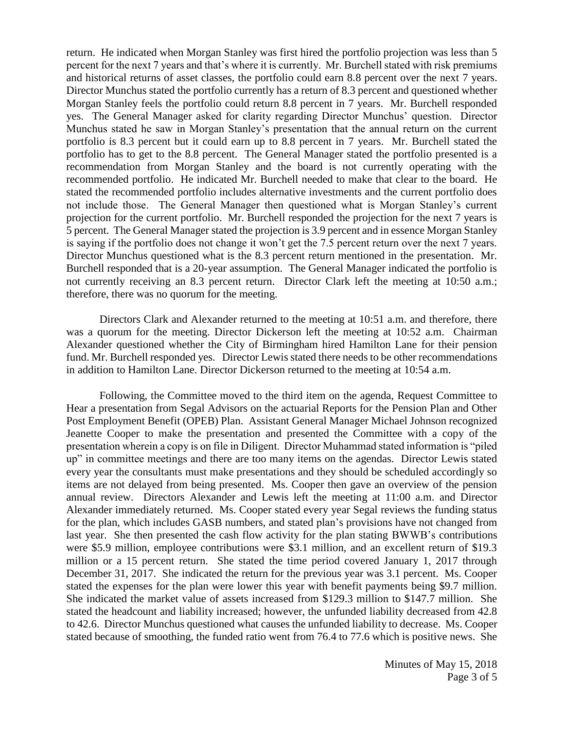return. He indicated when Morgan Stanley was first hired the portfolio projection was less than 5 percent for the next 7 years and that's where it is currently. Mr. Burchell stated with risk premiums and historical returns of asset classes, the portfolio could earn 8.8 percent over the next 7 years. Director Munchus stated the portfolio currently has a return of 8.3 percent and questioned whether Morgan Stanley feels the portfolio could return 8.8 percent in 7 years. Mr. Burchell responded yes. The General Manager asked for clarity regarding Director Munchus' question. Director Munchus stated he saw in Morgan Stanley's presentation that the annual return on the current portfolio is 8.3 percent but it could earn up to 8.8 percent in 7 years. Mr. Burchell stated the portfolio has to get to the 8.8 percent. The General Manager stated the portfolio presented is a recommendation from Morgan Stanley and the board is not currently operating with the recommended portfolio. He indicated Mr. Burchell needed to make that clear to the board. He stated the recommended portfolio includes alternative investments and the current portfolio does not include those. The General Manager then questioned what is Morgan Stanley's current projection for the current portfolio. Mr. Burchell responded the projection for the next 7 years is 5 percent. The General Manager stated the projection is 3.9 percent and in essence Morgan Stanley is saying if the portfolio does not change it won't get the 7.5 percent return over the next 7 years. Director Munchus questioned what is the 8.3 percent return mentioned in the presentation. Mr. Burchell responded that is a 20-year assumption. The General Manager indicated the portfolio is not currently receiving an 8.3 percent return. Director Clark left the meeting at 10:50 a.m.; therefore, there was no quorum for the meeting.

Directors Clark and Alexander returned to the meeting at 10:51 a.m. and therefore, there was a quorum for the meeting. Director Dickerson left the meeting at 10:52 a.m. Chairman Alexander questioned whether the City of Birmingham hired Hamilton Lane for their pension fund. Mr. Burchell responded yes. Director Lewis stated there needs to be other recommendations in addition to Hamilton Lane. Director Dickerson returned to the meeting at 10:54 a.m.

Following, the Committee moved to the third item on the agenda, Request Committee to Hear a presentation from Segal Advisors on the actuarial Reports for the Pension Plan and Other Post Employment Benefit (OPEB) Plan. Assistant General Manager Michael Johnson recognized Jeanette Cooper to make the presentation and presented the Committee with a copy of the presentation wherein a copy is on file in Diligent. Director Muhammad stated information is "piled up" in committee meetings and there are too many items on the agendas. Director Lewis stated every year the consultants must make presentations and they should be scheduled accordingly so items are not delayed from being presented. Ms. Cooper then gave an overview of the pension annual review. Directors Alexander and Lewis left the meeting at 11:00 a.m. and Director Alexander immediately returned. Ms. Cooper stated every year Segal reviews the funding status for the plan, which includes GASB numbers, and stated plan's provisions have not changed from last year. She then presented the cash flow activity for the plan stating BWWB's contributions were \$5.9 million, employee contributions were \$3.1 million, and an excellent return of \$19.3 million or a 15 percent return. She stated the time period covered January 1, 2017 through December 31, 2017. She indicated the return for the previous year was 3.1 percent. Ms. Cooper stated the expenses for the plan were lower this year with benefit payments being \$9.7 million. She indicated the market value of assets increased from \$129.3 million to \$147.7 million. She stated the headcount and liability increased; however, the unfunded liability decreased from 42.8 to 42.6. Director Munchus questioned what causes the unfunded liability to decrease. Ms. Cooper stated because of smoothing, the funded ratio went from 76.4 to 77.6 which is positive news. She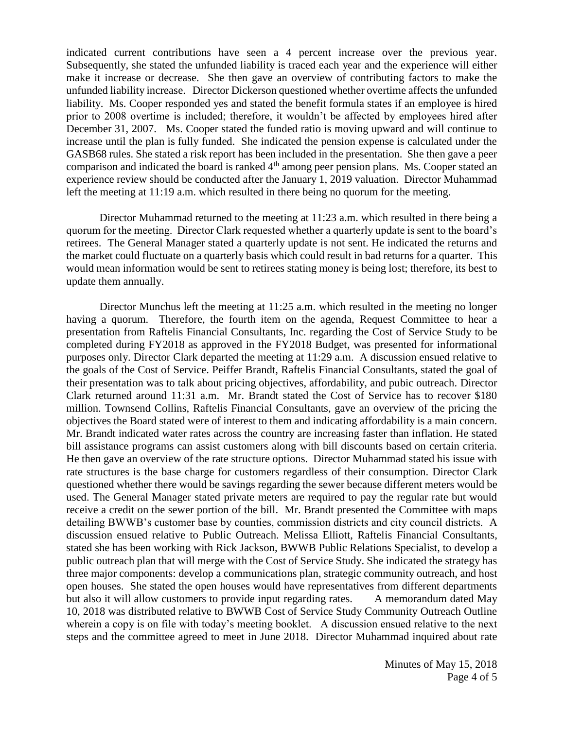indicated current contributions have seen a 4 percent increase over the previous year. Subsequently, she stated the unfunded liability is traced each year and the experience will either make it increase or decrease. She then gave an overview of contributing factors to make the unfunded liability increase. Director Dickerson questioned whether overtime affects the unfunded liability. Ms. Cooper responded yes and stated the benefit formula states if an employee is hired prior to 2008 overtime is included; therefore, it wouldn't be affected by employees hired after December 31, 2007. Ms. Cooper stated the funded ratio is moving upward and will continue to increase until the plan is fully funded. She indicated the pension expense is calculated under the GASB68 rules. She stated a risk report has been included in the presentation. She then gave a peer comparison and indicated the board is ranked 4<sup>th</sup> among peer pension plans. Ms. Cooper stated an experience review should be conducted after the January 1, 2019 valuation. Director Muhammad left the meeting at 11:19 a.m. which resulted in there being no quorum for the meeting.

Director Muhammad returned to the meeting at 11:23 a.m. which resulted in there being a quorum for the meeting. Director Clark requested whether a quarterly update is sent to the board's retirees. The General Manager stated a quarterly update is not sent. He indicated the returns and the market could fluctuate on a quarterly basis which could result in bad returns for a quarter. This would mean information would be sent to retirees stating money is being lost; therefore, its best to update them annually.

Director Munchus left the meeting at 11:25 a.m. which resulted in the meeting no longer having a quorum. Therefore, the fourth item on the agenda, Request Committee to hear a presentation from Raftelis Financial Consultants, Inc. regarding the Cost of Service Study to be completed during FY2018 as approved in the FY2018 Budget, was presented for informational purposes only. Director Clark departed the meeting at 11:29 a.m. A discussion ensued relative to the goals of the Cost of Service. Peiffer Brandt, Raftelis Financial Consultants, stated the goal of their presentation was to talk about pricing objectives, affordability, and pubic outreach. Director Clark returned around 11:31 a.m. Mr. Brandt stated the Cost of Service has to recover \$180 million. Townsend Collins, Raftelis Financial Consultants, gave an overview of the pricing the objectives the Board stated were of interest to them and indicating affordability is a main concern. Mr. Brandt indicated water rates across the country are increasing faster than inflation. He stated bill assistance programs can assist customers along with bill discounts based on certain criteria. He then gave an overview of the rate structure options. Director Muhammad stated his issue with rate structures is the base charge for customers regardless of their consumption. Director Clark questioned whether there would be savings regarding the sewer because different meters would be used. The General Manager stated private meters are required to pay the regular rate but would receive a credit on the sewer portion of the bill. Mr. Brandt presented the Committee with maps detailing BWWB's customer base by counties, commission districts and city council districts. A discussion ensued relative to Public Outreach. Melissa Elliott, Raftelis Financial Consultants, stated she has been working with Rick Jackson, BWWB Public Relations Specialist, to develop a public outreach plan that will merge with the Cost of Service Study. She indicated the strategy has three major components: develop a communications plan, strategic community outreach, and host open houses. She stated the open houses would have representatives from different departments but also it will allow customers to provide input regarding rates. A memorandum dated May 10, 2018 was distributed relative to BWWB Cost of Service Study Community Outreach Outline wherein a copy is on file with today's meeting booklet. A discussion ensued relative to the next steps and the committee agreed to meet in June 2018. Director Muhammad inquired about rate